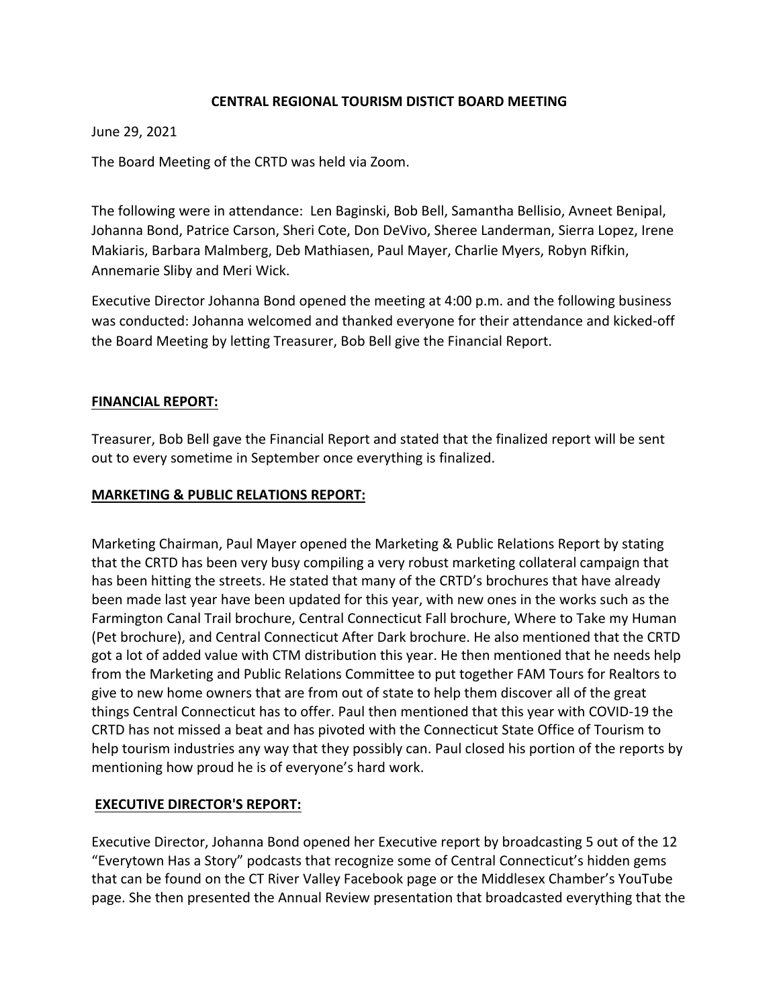## **CENTRAL REGIONAL TOURISM DISTICT BOARD MEETING**

#### June 29, 2021

The Board Meeting of the CRTD was held via Zoom.

The following were in attendance: Len Baginski, Bob Bell, Samantha Bellisio, Avneet Benipal, Johanna Bond, Patrice Carson, Sheri Cote, Don DeVivo, Sheree Landerman, Sierra Lopez, Irene Makiaris, Barbara Malmberg, Deb Mathiasen, Paul Mayer, Charlie Myers, Robyn Rifkin, Annemarie Sliby and Meri Wick.

Executive Director Johanna Bond opened the meeting at 4:00 p.m. and the following business was conducted: Johanna welcomed and thanked everyone for their attendance and kicked-off the Board Meeting by letting Treasurer, Bob Bell give the Financial Report.

### **FINANCIAL REPORT:**

Treasurer, Bob Bell gave the Financial Report and stated that the finalized report will be sent out to every sometime in September once everything is finalized.

### **MARKETING & PUBLIC RELATIONS REPORT:**

Marketing Chairman, Paul Mayer opened the Marketing & Public Relations Report by stating that the CRTD has been very busy compiling a very robust marketing collateral campaign that has been hitting the streets. He stated that many of the CRTD's brochures that have already been made last year have been updated for this year, with new ones in the works such as the Farmington Canal Trail brochure, Central Connecticut Fall brochure, Where to Take my Human (Pet brochure), and Central Connecticut After Dark brochure. He also mentioned that the CRTD got a lot of added value with CTM distribution this year. He then mentioned that he needs help from the Marketing and Public Relations Committee to put together FAM Tours for Realtors to give to new home owners that are from out of state to help them discover all of the great things Central Connecticut has to offer. Paul then mentioned that this year with COVID‐19 the CRTD has not missed a beat and has pivoted with the Connecticut State Office of Tourism to help tourism industries any way that they possibly can. Paul closed his portion of the reports by mentioning how proud he is of everyone's hard work.

### **EXECUTIVE DIRECTOR'S REPORT:**

Executive Director, Johanna Bond opened her Executive report by broadcasting 5 out of the 12 "Everytown Has a Story" podcasts that recognize some of Central Connecticut's hidden gems that can be found on the CT River Valley Facebook page or the Middlesex Chamber's YouTube page. She then presented the Annual Review presentation that broadcasted everything that the